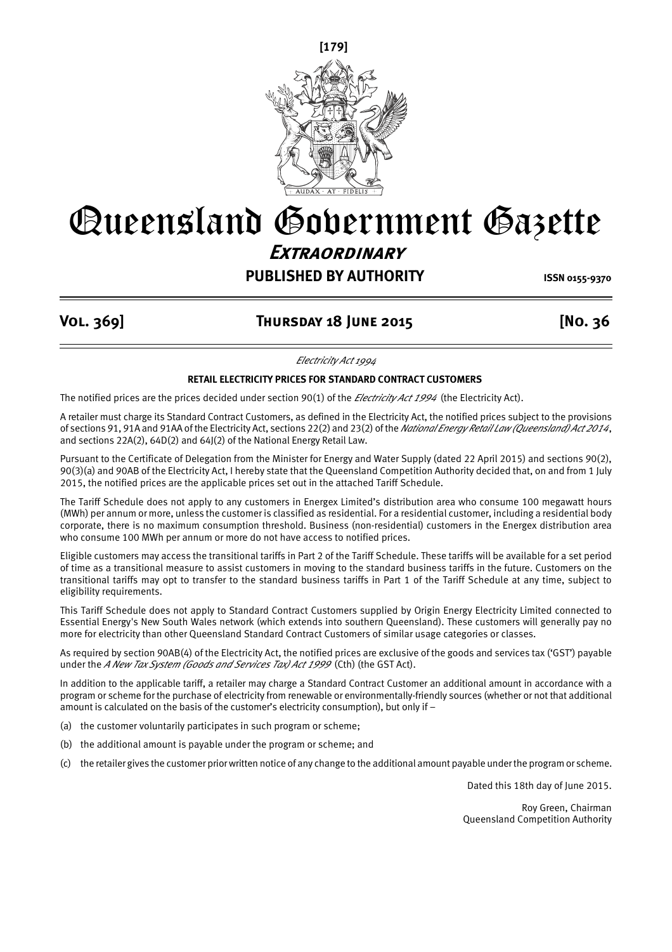

# Queensland Government Gazette **Extraordinary**

# **PUBLISHED BY AUTHORITY ISSN 0155-9370**

## **Vol. 369] Thursday 18 June 2015 [No. 36**

*Electricity Act 1994*

### **RETAIL ELECTRICITY PRICES FOR STANDARD CONTRACT CUSTOMERS**

The notified prices are the prices decided under section 90(1) of the *Electricity Act 1994* (the Electricity Act).

A retailer must charge its Standard Contract Customers, as defined in the Electricity Act, the notified prices subject to the provisions of sections 91, 91A and 91AA of the Electricity Act, sections 22(2) and 23(2) of the *National Energy Retail Law (Queensland) Act 2014*, and sections 22A(2), 64D(2) and 64J(2) of the National Energy Retail Law.

Pursuant to the Certificate of Delegation from the Minister for Energy and Water Supply (dated 22 April 2015) and sections 90(2), 90(3)(a) and 90AB of the Electricity Act, I hereby state that the Queensland Competition Authority decided that, on and from 1 July 2015, the notified prices are the applicable prices set out in the attached Tariff Schedule.

The Tariff Schedule does not apply to any customers in Energex Limited's distribution area who consume 100 megawatt hours (MWh) per annum or more, unless the customer is classified as residential. For a residential customer, including a residential body corporate, there is no maximum consumption threshold. Business (non-residential) customers in the Energex distribution area who consume 100 MWh per annum or more do not have access to notified prices.

Eligible customers may access the transitional tariffs in Part 2 of the Tariff Schedule. These tariffs will be available for a set period of time as a transitional measure to assist customers in moving to the standard business tariffs in the future. Customers on the transitional tariffs may opt to transfer to the standard business tariffs in Part 1 of the Tariff Schedule at any time, subject to eligibility requirements.

This Tariff Schedule does not apply to Standard Contract Customers supplied by Origin Energy Electricity Limited connected to Essential Energy's New South Wales network (which extends into southern Queensland). These customers will generally pay no more for electricity than other Queensland Standard Contract Customers of similar usage categories or classes.

As required by section 90AB(4) of the Electricity Act, the notified prices are exclusive of the goods and services tax ('GST') payable under the *A New Tax System (Goods and Services Tax) Act 1999* (Cth) (the GST Act).

In addition to the applicable tariff, a retailer may charge a Standard Contract Customer an additional amount in accordance with a program or scheme for the purchase of electricity from renewable or environmentally-friendly sources (whether or not that additional amount is calculated on the basis of the customer's electricity consumption), but only if –

- (a) the customer voluntarily participates in such program or scheme;
- (b) the additional amount is payable under the program or scheme; and
- (c) the retailer gives the customer prior written notice of any change to the additional amount payable under the program or scheme.

Dated this 18th day of June 2015.

Roy Green, Chairman Queensland Competition Authority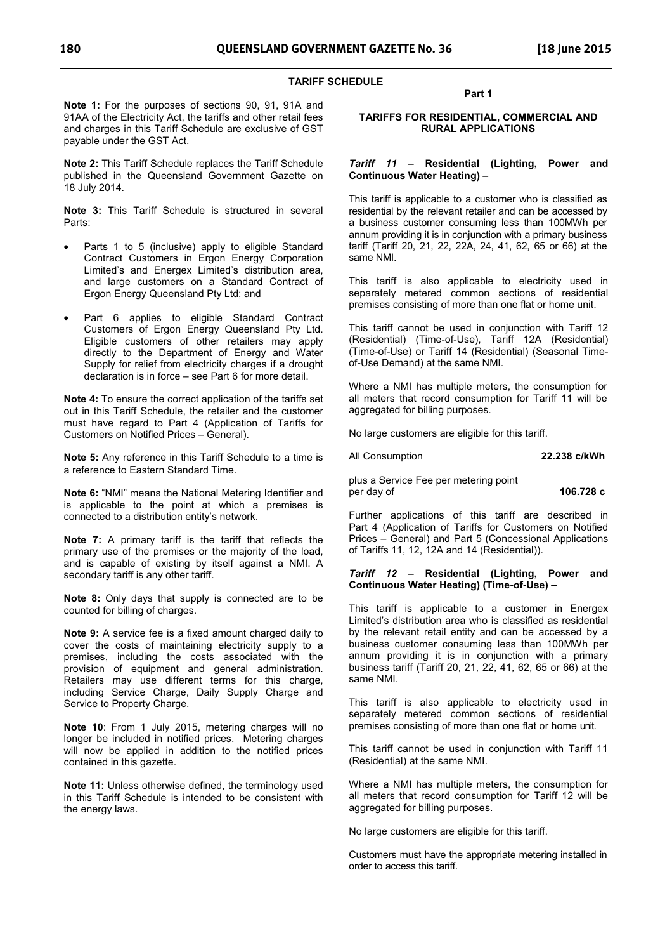#### **TARIFF SCHEDULE**

**Note 1:** For the purposes of sections 90, 91, 91A and 91AA of the Electricity Act, the tariffs and other retail fees and charges in this Tariff Schedule are exclusive of GST payable under the GST Act.

**Note 2:** This Tariff Schedule replaces the Tariff Schedule published in the Queensland Government Gazette on 18 July 2014.

**Note 3:** This Tariff Schedule is structured in several Parts:

- Parts 1 to 5 (inclusive) apply to eligible Standard Contract Customers in Ergon Energy Corporation Limited's and Energex Limited's distribution area, and large customers on a Standard Contract of Ergon Energy Queensland Pty Ltd; and
- Part 6 applies to eligible Standard Contract Customers of Ergon Energy Queensland Pty Ltd. Eligible customers of other retailers may apply directly to the Department of Energy and Water Supply for relief from electricity charges if a drought declaration is in force – see Part 6 for more detail.

**Note 4:** To ensure the correct application of the tariffs set out in this Tariff Schedule, the retailer and the customer must have regard to Part 4 (Application of Tariffs for Customers on Notified Prices – General).

**Note 5:** Any reference in this Tariff Schedule to a time is a reference to Eastern Standard Time.

**Note 6:** "NMI" means the National Metering Identifier and is applicable to the point at which a premises is connected to a distribution entity's network.

**Note 7:** A primary tariff is the tariff that reflects the primary use of the premises or the majority of the load, and is capable of existing by itself against a NMI. A secondary tariff is any other tariff.

**Note 8:** Only days that supply is connected are to be counted for billing of charges.

**Note 9:** A service fee is a fixed amount charged daily to cover the costs of maintaining electricity supply to a premises, including the costs associated with the provision of equipment and general administration. Retailers may use different terms for this charge, including Service Charge, Daily Supply Charge and Service to Property Charge.

**Note 10**: From 1 July 2015, metering charges will no longer be included in notified prices. Metering charges will now be applied in addition to the notified prices contained in this gazette.

**Note 11:** Unless otherwise defined, the terminology used in this Tariff Schedule is intended to be consistent with the energy laws.

**Part 1** 

#### **TARIFFS FOR RESIDENTIAL, COMMERCIAL AND RURAL APPLICATIONS**

#### *Tariff 11* **– Residential (Lighting, Power and Continuous Water Heating) –**

This tariff is applicable to a customer who is classified as residential by the relevant retailer and can be accessed by a business customer consuming less than 100MWh per annum providing it is in conjunction with a primary business tariff (Tariff 20, 21, 22, 22A, 24, 41, 62, 65 or 66) at the same NMI.

This tariff is also applicable to electricity used in separately metered common sections of residential premises consisting of more than one flat or home unit.

This tariff cannot be used in conjunction with Tariff 12 (Residential) (Time-of-Use), Tariff 12A (Residential) (Time-of-Use) or Tariff 14 (Residential) (Seasonal Timeof-Use Demand) at the same NMI.

Where a NMI has multiple meters, the consumption for all meters that record consumption for Tariff 11 will be aggregated for billing purposes.

No large customers are eligible for this tariff.

All Consumption **22.238 c/kWh** 

plus a Service Fee per metering point per day of **106.728 c**

Further applications of this tariff are described in Part 4 (Application of Tariffs for Customers on Notified Prices – General) and Part 5 (Concessional Applications of Tariffs 11, 12, 12A and 14 (Residential)).

#### *Tariff 12* **– Residential (Lighting, Power and Continuous Water Heating) (Time-of-Use) –**

This tariff is applicable to a customer in Energex Limited's distribution area who is classified as residential by the relevant retail entity and can be accessed by a business customer consuming less than 100MWh per annum providing it is in conjunction with a primary business tariff (Tariff 20, 21, 22, 41, 62, 65 or 66) at the same NMI.

This tariff is also applicable to electricity used in separately metered common sections of residential premises consisting of more than one flat or home unit.

This tariff cannot be used in conjunction with Tariff 11 (Residential) at the same NMI.

Where a NMI has multiple meters, the consumption for all meters that record consumption for Tariff 12 will be aggregated for billing purposes.

No large customers are eligible for this tariff.

Customers must have the appropriate metering installed in order to access this tariff.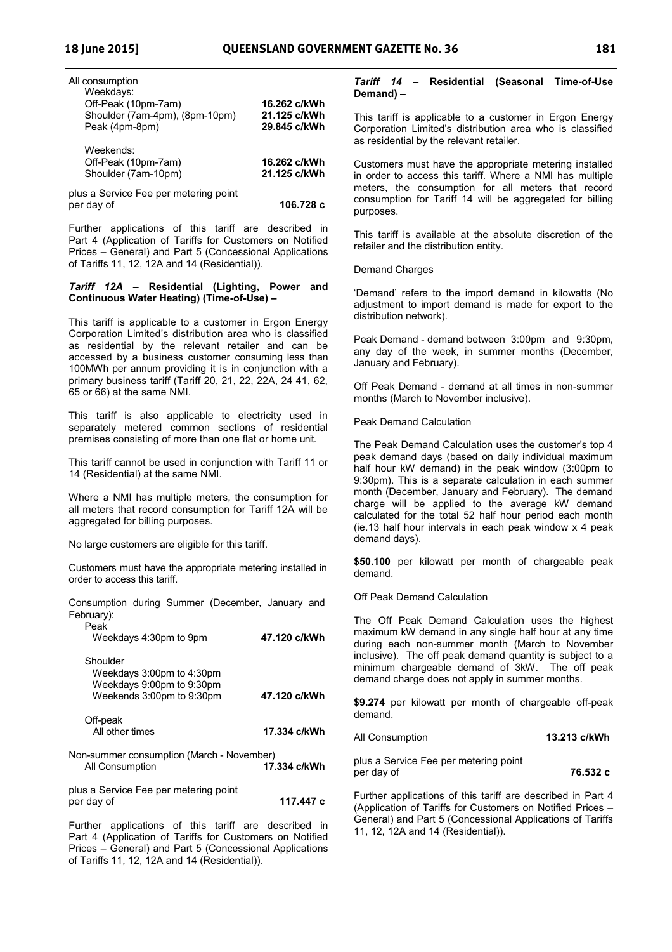| All consumption                                         |                              |
|---------------------------------------------------------|------------------------------|
| Weekdays:<br>Off-Peak (10pm-7am)                        | 16.262 c/kWh                 |
| Shoulder (7am-4pm), (8pm-10pm)                          | 21.125 c/kWh                 |
| Peak (4pm-8pm)                                          | 29.845 c/kWh                 |
| Weekends:<br>Off-Peak (10pm-7am)<br>Shoulder (7am-10pm) | 16.262 c/kWh<br>21.125 c/kWh |
| plus a Service Fee per metering point<br>per day of     | 106.728 c                    |

Further applications of this tariff are described in Part 4 (Application of Tariffs for Customers on Notified Prices – General) and Part 5 (Concessional Applications of Tariffs 11, 12, 12A and 14 (Residential)).

#### *Tariff 12A* **– Residential (Lighting, Power and Continuous Water Heating) (Time-of-Use) –**

This tariff is applicable to a customer in Ergon Energy Corporation Limited's distribution area who is classified as residential by the relevant retailer and can be accessed by a business customer consuming less than 100MWh per annum providing it is in conjunction with a primary business tariff (Tariff 20, 21, 22, 22A, 24 41, 62, 65 or 66) at the same NMI.

This tariff is also applicable to electricity used in separately metered common sections of residential premises consisting of more than one flat or home unit.

This tariff cannot be used in conjunction with Tariff 11 or 14 (Residential) at the same NMI.

Where a NMI has multiple meters, the consumption for all meters that record consumption for Tariff 12A will be aggregated for billing purposes.

No large customers are eligible for this tariff.

Customers must have the appropriate metering installed in order to access this tariff.

| Consumption during Summer (December, January and<br>February):<br>Peak                          |              |
|-------------------------------------------------------------------------------------------------|--------------|
| Weekdays 4:30pm to 9pm                                                                          | 47.120 c/kWh |
| Shoulder<br>Weekdays 3:00pm to 4:30pm<br>Weekdays 9:00pm to 9:30pm<br>Weekends 3:00pm to 9:30pm | 47.120 c/kWh |
| Off-peak<br>All other times                                                                     | 17.334 c/kWh |
| Non-summer consumption (March - November)<br>All Consumption                                    | 17.334 c/kWh |
| plus a Service Fee per metering point<br>per day of                                             | 117.447 с    |

Further applications of this tariff are described in Part 4 (Application of Tariffs for Customers on Notified Prices – General) and Part 5 (Concessional Applications of Tariffs 11, 12, 12A and 14 (Residential)).

#### *Tariff 14* **– Residential (Seasonal Time-of-Use Demand) –**

This tariff is applicable to a customer in Ergon Energy Corporation Limited's distribution area who is classified as residential by the relevant retailer.

Customers must have the appropriate metering installed in order to access this tariff. Where a NMI has multiple meters, the consumption for all meters that record consumption for Tariff 14 will be aggregated for billing purposes.

This tariff is available at the absolute discretion of the retailer and the distribution entity.

Demand Charges

'Demand' refers to the import demand in kilowatts (No adjustment to import demand is made for export to the distribution network).

Peak Demand - demand between 3:00pm and 9:30pm, any day of the week, in summer months (December, January and February).

Off Peak Demand - demand at all times in non-summer months (March to November inclusive).

Peak Demand Calculation

The Peak Demand Calculation uses the customer's top 4 peak demand days (based on daily individual maximum half hour kW demand) in the peak window (3:00pm to 9:30pm). This is a separate calculation in each summer month (December, January and February). The demand charge will be applied to the average kW demand calculated for the total 52 half hour period each month (ie.13 half hour intervals in each peak window x 4 peak demand days).

**\$50.100** per kilowatt per month of chargeable peak demand.

Off Peak Demand Calculation

The Off Peak Demand Calculation uses the highest maximum kW demand in any single half hour at any time during each non-summer month (March to November inclusive). The off peak demand quantity is subject to a minimum chargeable demand of 3kW. The off peak demand charge does not apply in summer months.

**\$9.274** per kilowatt per month of chargeable off-peak demand.

All Consumption **13.213 c/kWh**

plus a Service Fee per metering point per day of **76.532 c**

Further applications of this tariff are described in Part 4 (Application of Tariffs for Customers on Notified Prices – General) and Part 5 (Concessional Applications of Tariffs 11, 12, 12A and 14 (Residential)).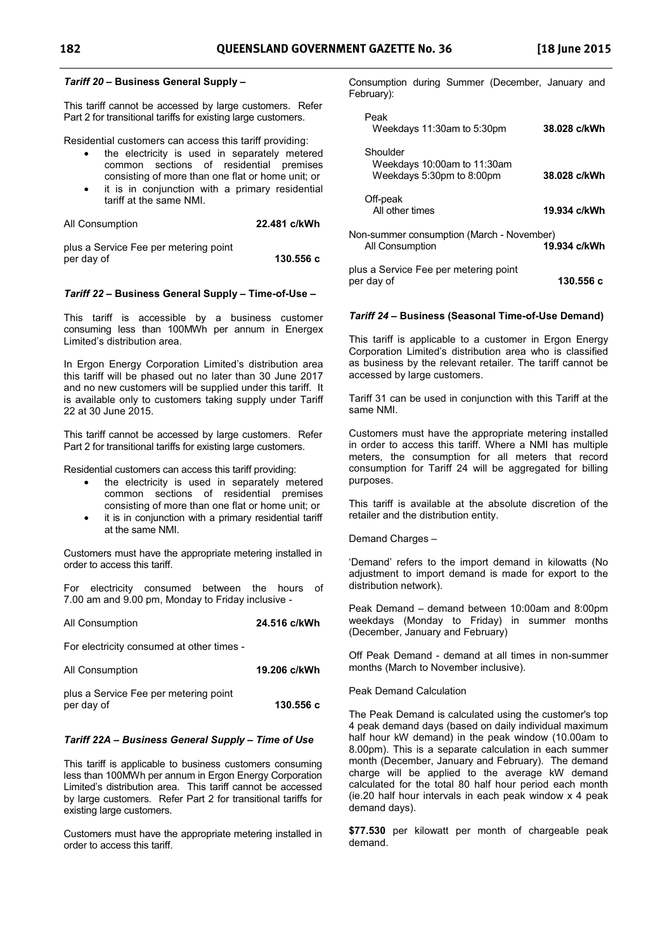#### *Tariff 20* **– Business General Supply –**

This tariff cannot be accessed by large customers. Refer Part 2 for transitional tariffs for existing large customers.

Residential customers can access this tariff providing:

- the electricity is used in separately metered common sections of residential premises consisting of more than one flat or home unit; or
- it is in conjunction with a primary residential tariff at the same NMI.

| All Consumption | 22.481 c/kWh |
|-----------------|--------------|
|                 |              |

plus a Service Fee per metering point per day of **130.556 c** 

#### *Tariff 22* **– Business General Supply – Time-of-Use –**

This tariff is accessible by a business customer consuming less than 100MWh per annum in Energex Limited's distribution area.

In Ergon Energy Corporation Limited's distribution area this tariff will be phased out no later than 30 June 2017 and no new customers will be supplied under this tariff. It is available only to customers taking supply under Tariff 22 at 30 June 2015.

This tariff cannot be accessed by large customers. Refer Part 2 for transitional tariffs for existing large customers.

Residential customers can access this tariff providing:

- the electricity is used in separately metered common sections of residential premises consisting of more than one flat or home unit; or
- it is in conjunction with a primary residential tariff at the same NMI.

Customers must have the appropriate metering installed in order to access this tariff.

For electricity consumed between the hours of 7.00 am and 9.00 pm, Monday to Friday inclusive -

# All Consumption **24.516 c/kWh**

For electricity consumed at other times -

| All Consumption                       | 19.206 c/kWh |
|---------------------------------------|--------------|
| plus a Service Fee per metering point |              |
| per day of                            | 130.556 c    |

#### *Tariff 22A – Business General Supply – Time of Use*

This tariff is applicable to business customers consuming less than 100MWh per annum in Ergon Energy Corporation Limited's distribution area. This tariff cannot be accessed by large customers. Refer Part 2 for transitional tariffs for existing large customers.

Customers must have the appropriate metering installed in order to access this tariff.

Consumption during Summer (December, January and February):

| Peak<br>Weekdays 11:30am to 5:30pm                                   | 38.028 c/kWh |
|----------------------------------------------------------------------|--------------|
| Shoulder<br>Weekdays 10:00am to 11:30am<br>Weekdays 5:30pm to 8:00pm | 38.028 c/kWh |
| Off-peak<br>All other times                                          | 19.934 c/kWh |
| Non-summer consumption (March - November)<br>All Consumption         | 19.934 c/kWh |
| plus a Service Fee per metering point<br>per day of                  | 130.556 с    |

#### *Tariff 24* **– Business (Seasonal Time-of-Use Demand)**

This tariff is applicable to a customer in Ergon Energy Corporation Limited's distribution area who is classified as business by the relevant retailer. The tariff cannot be accessed by large customers.

Tariff 31 can be used in conjunction with this Tariff at the same NMI.

Customers must have the appropriate metering installed in order to access this tariff. Where a NMI has multiple meters, the consumption for all meters that record consumption for Tariff 24 will be aggregated for billing purposes.

This tariff is available at the absolute discretion of the retailer and the distribution entity.

Demand Charges –

'Demand' refers to the import demand in kilowatts (No adjustment to import demand is made for export to the distribution network).

Peak Demand – demand between 10:00am and 8:00pm weekdays (Monday to Friday) in summer months (December, January and February)

Off Peak Demand - demand at all times in non-summer months (March to November inclusive).

#### Peak Demand Calculation

The Peak Demand is calculated using the customer's top 4 peak demand days (based on daily individual maximum half hour kW demand) in the peak window (10.00am to 8.00pm). This is a separate calculation in each summer month (December, January and February). The demand charge will be applied to the average kW demand calculated for the total 80 half hour period each month (ie.20 half hour intervals in each peak window x 4 peak demand days).

**\$77.530** per kilowatt per month of chargeable peak demand.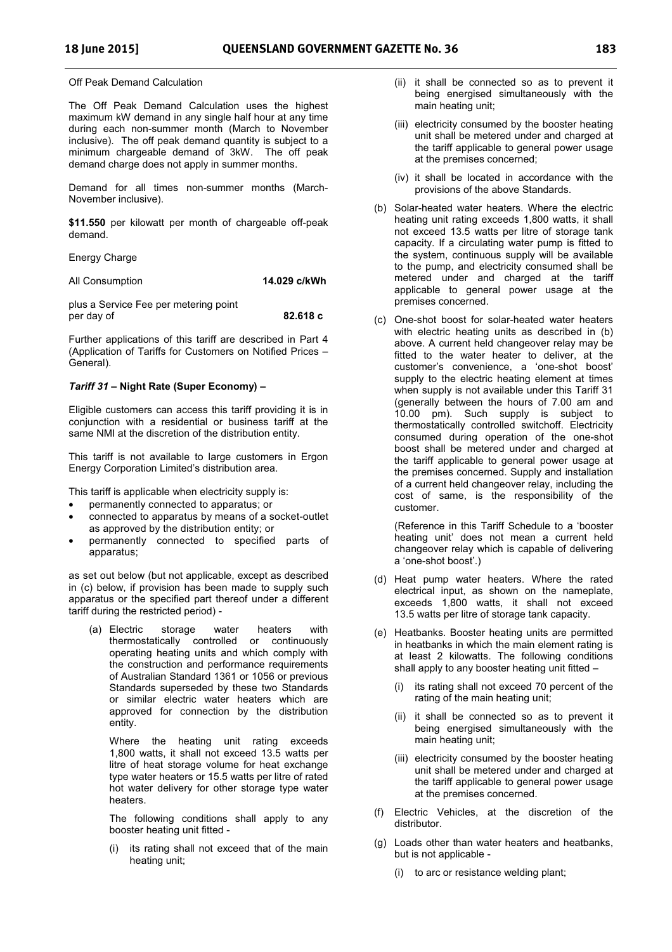Off Peak Demand Calculation

The Off Peak Demand Calculation uses the highest maximum kW demand in any single half hour at any time during each non-summer month (March to November inclusive). The off peak demand quantity is subject to a minimum chargeable demand of 3kW. The off peak demand charge does not apply in summer months.

Demand for all times non-summer months (March-November inclusive).

**\$11.550** per kilowatt per month of chargeable off-peak demand.

Energy Charge

All Consumption **14.029 c/kWh**

plus a Service Fee per metering point per day of **82.618 c**

Further applications of this tariff are described in Part 4 (Application of Tariffs for Customers on Notified Prices – General).

#### *Tariff 31* **– Night Rate (Super Economy) –**

Eligible customers can access this tariff providing it is in conjunction with a residential or business tariff at the same NMI at the discretion of the distribution entity.

This tariff is not available to large customers in Ergon Energy Corporation Limited's distribution area.

This tariff is applicable when electricity supply is:

- permanently connected to apparatus; or
- connected to apparatus by means of a socket-outlet as approved by the distribution entity; or
- permanently connected to specified parts of apparatus;

as set out below (but not applicable, except as described in (c) below, if provision has been made to supply such apparatus or the specified part thereof under a different tariff during the restricted period) -

(a) Electric storage water heaters with thermostatically controlled or continuously operating heating units and which comply with the construction and performance requirements of Australian Standard 1361 or 1056 or previous Standards superseded by these two Standards or similar electric water heaters which are approved for connection by the distribution entity.

Where the heating unit rating exceeds 1,800 watts, it shall not exceed 13.5 watts per litre of heat storage volume for heat exchange type water heaters or 15.5 watts per litre of rated hot water delivery for other storage type water heaters.

The following conditions shall apply to any booster heating unit fitted -

(i) its rating shall not exceed that of the main heating unit;

- (ii) it shall be connected so as to prevent it being energised simultaneously with the main heating unit;
- (iii) electricity consumed by the booster heating unit shall be metered under and charged at the tariff applicable to general power usage at the premises concerned;
- (iv) it shall be located in accordance with the provisions of the above Standards.
- (b) Solar-heated water heaters. Where the electric heating unit rating exceeds 1,800 watts, it shall not exceed 13.5 watts per litre of storage tank capacity. If a circulating water pump is fitted to the system, continuous supply will be available to the pump, and electricity consumed shall be metered under and charged at the tariff applicable to general power usage at the premises concerned.
- (c) One-shot boost for solar-heated water heaters with electric heating units as described in (b) above. A current held changeover relay may be fitted to the water heater to deliver, at the customer's convenience, a 'one-shot boost' supply to the electric heating element at times when supply is not available under this Tariff 31 (generally between the hours of 7.00 am and 10.00 pm). Such supply is subject to thermostatically controlled switchoff. Electricity consumed during operation of the one-shot boost shall be metered under and charged at the tariff applicable to general power usage at the premises concerned. Supply and installation of a current held changeover relay, including the cost of same, is the responsibility of the customer.

(Reference in this Tariff Schedule to a 'booster heating unit' does not mean a current held changeover relay which is capable of delivering a 'one-shot boost'.)

- (d) Heat pump water heaters. Where the rated electrical input, as shown on the nameplate, exceeds 1,800 watts, it shall not exceed 13.5 watts per litre of storage tank capacity.
- (e) Heatbanks. Booster heating units are permitted in heatbanks in which the main element rating is at least 2 kilowatts. The following conditions shall apply to any booster heating unit fitted –
	- (i) its rating shall not exceed 70 percent of the rating of the main heating unit;
	- (ii) it shall be connected so as to prevent it being energised simultaneously with the main heating unit;
	- (iii) electricity consumed by the booster heating unit shall be metered under and charged at the tariff applicable to general power usage at the premises concerned.
- (f) Electric Vehicles, at the discretion of the distributor.
- (g) Loads other than water heaters and heatbanks, but is not applicable -
	- (i) to arc or resistance welding plant;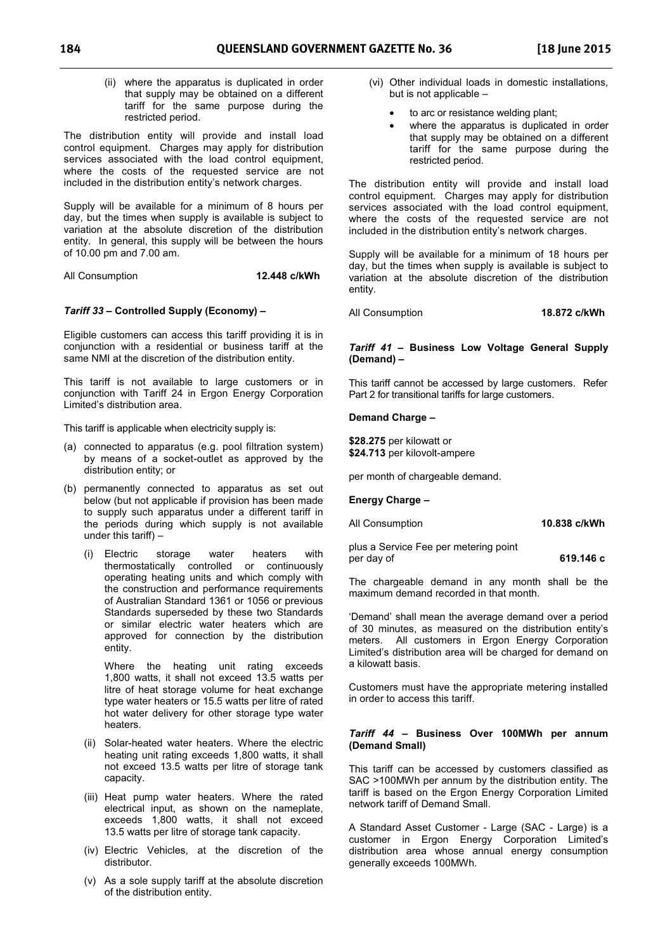(ii) where the apparatus is duplicated in order that supply may be obtained on a different tariff for the same purpose during the restricted period.

The distribution entity will provide and install load control equipment. Charges may apply for distribution services associated with the load control equipment. where the costs of the requested service are not included in the distribution entity's network charges.

Supply will be available for a minimum of 8 hours per day, but the times when supply is available is subject to variation at the absolute discretion of the distribution entity. In general, this supply will be between the hours of 10.00 pm and 7.00 am.

All Consumption **12.448 c/kWh** 

#### *Tariff 33* **– Controlled Supply (Economy) –**

Eligible customers can access this tariff providing it is in conjunction with a residential or business tariff at the same NMI at the discretion of the distribution entity.

This tariff is not available to large customers or in conjunction with Tariff 24 in Ergon Energy Corporation Limited's distribution area.

This tariff is applicable when electricity supply is:

- (a) connected to apparatus (e.g. pool filtration system) by means of a socket-outlet as approved by the distribution entity; or
- (b) permanently connected to apparatus as set out below (but not applicable if provision has been made to supply such apparatus under a different tariff in the periods during which supply is not available under this tariff) –
	- (i) Electric storage water heaters with thermostatically controlled or continuously operating heating units and which comply with the construction and performance requirements of Australian Standard 1361 or 1056 or previous Standards superseded by these two Standards or similar electric water heaters which are approved for connection by the distribution entity.

Where the heating unit rating exceeds 1,800 watts, it shall not exceed 13.5 watts per litre of heat storage volume for heat exchange type water heaters or 15.5 watts per litre of rated hot water delivery for other storage type water heaters.

- (ii) Solar-heated water heaters. Where the electric heating unit rating exceeds 1,800 watts, it shall not exceed 13.5 watts per litre of storage tank capacity.
- (iii) Heat pump water heaters. Where the rated electrical input, as shown on the nameplate, exceeds 1,800 watts, it shall not exceed 13.5 watts per litre of storage tank capacity.
- (iv) Electric Vehicles, at the discretion of the distributor.
- (v) As a sole supply tariff at the absolute discretion of the distribution entity.
- (vi) Other individual loads in domestic installations, but is not applicable –
	- to arc or resistance welding plant;
	- where the apparatus is duplicated in order that supply may be obtained on a different tariff for the same purpose during the restricted period.

The distribution entity will provide and install load control equipment. Charges may apply for distribution services associated with the load control equipment, where the costs of the requested service are not included in the distribution entity's network charges.

Supply will be available for a minimum of 18 hours per day, but the times when supply is available is subject to variation at the absolute discretion of the distribution entity.

All Consumption **18.872 c/kWh** 

#### *Tariff 41* **– Business Low Voltage General Supply (Demand) –**

This tariff cannot be accessed by large customers. Refer Part 2 for transitional tariffs for large customers.

#### **Demand Charge –**

**\$28.275** per kilowatt or **\$24.713** per kilovolt-ampere

per month of chargeable demand.

**Energy Charge –** 

All Consumption **10.838 c/kWh** 

plus a Service Fee per metering point per day of **619.146 c** 

The chargeable demand in any month shall be the maximum demand recorded in that month.

'Demand' shall mean the average demand over a period of 30 minutes, as measured on the distribution entity's meters. All customers in Ergon Energy Corporation Limited's distribution area will be charged for demand on a kilowatt basis.

Customers must have the appropriate metering installed in order to access this tariff.

#### *Tariff 44 –* **Business Over 100MWh per annum (Demand Small)**

This tariff can be accessed by customers classified as SAC >100MWh per annum by the distribution entity. The tariff is based on the Ergon Energy Corporation Limited network tariff of Demand Small.

A Standard Asset Customer - Large (SAC - Large) is a customer in Ergon Energy Corporation Limited's distribution area whose annual energy consumption generally exceeds 100MWh.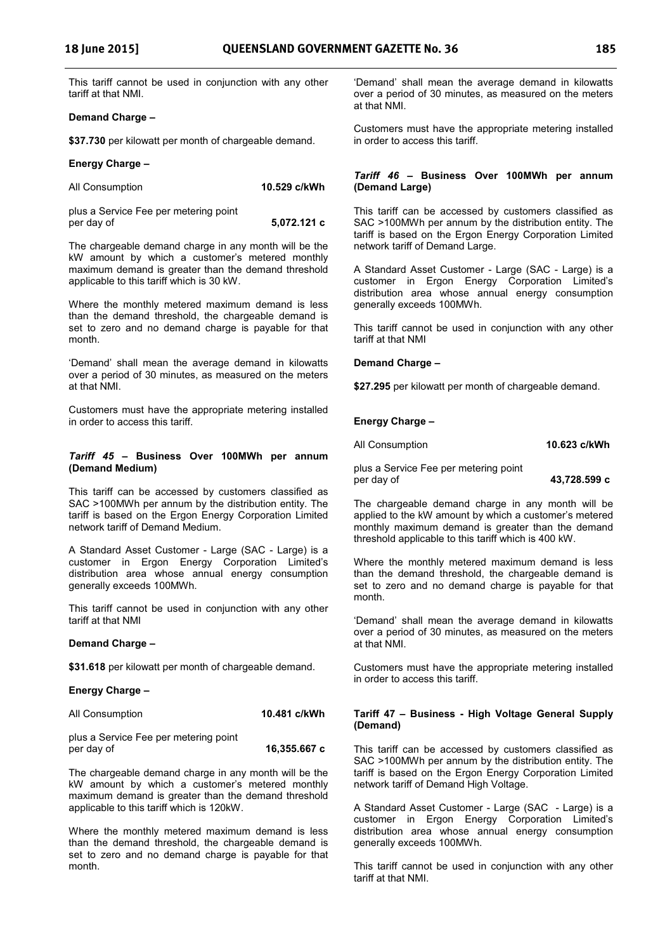This tariff cannot be used in conjunction with any other tariff at that NMI.

#### **Demand Charge –**

**\$37.730** per kilowatt per month of chargeable demand.

#### **Energy Charge –**

| All Consumption                       | 10.529 c/kWh |
|---------------------------------------|--------------|
| plus a Service Fee per metering point |              |

per day of **5,072.121 c** 

The chargeable demand charge in any month will be the kW amount by which a customer's metered monthly maximum demand is greater than the demand threshold applicable to this tariff which is 30 kW.

Where the monthly metered maximum demand is less than the demand threshold, the chargeable demand is set to zero and no demand charge is payable for that month.

'Demand' shall mean the average demand in kilowatts over a period of 30 minutes, as measured on the meters at that NMI.

Customers must have the appropriate metering installed in order to access this tariff.

#### *Tariff 45 –* **Business Over 100MWh per annum (Demand Medium)**

This tariff can be accessed by customers classified as SAC >100MWh per annum by the distribution entity. The tariff is based on the Ergon Energy Corporation Limited network tariff of Demand Medium.

A Standard Asset Customer - Large (SAC - Large) is a customer in Ergon Energy Corporation Limited's distribution area whose annual energy consumption generally exceeds 100MWh.

This tariff cannot be used in conjunction with any other tariff at that NMI

#### **Demand Charge –**

**\$31.618** per kilowatt per month of chargeable demand.

#### **Energy Charge –**

| 10.481 c/kWh<br>All Consumption |
|---------------------------------|
|---------------------------------|

| plus a Service Fee per metering point |              |
|---------------------------------------|--------------|
| per day of                            | 16,355.667 c |

The chargeable demand charge in any month will be the kW amount by which a customer's metered monthly maximum demand is greater than the demand threshold applicable to this tariff which is 120kW.

Where the monthly metered maximum demand is less than the demand threshold, the chargeable demand is set to zero and no demand charge is payable for that month.

'Demand' shall mean the average demand in kilowatts over a period of 30 minutes, as measured on the meters at that NMI.

Customers must have the appropriate metering installed in order to access this tariff.

#### *Tariff 46 –* **Business Over 100MWh per annum (Demand Large)**

This tariff can be accessed by customers classified as SAC >100MWh per annum by the distribution entity. The tariff is based on the Ergon Energy Corporation Limited network tariff of Demand Large.

A Standard Asset Customer - Large (SAC - Large) is a customer in Ergon Energy Corporation Limited's distribution area whose annual energy consumption generally exceeds 100MWh.

This tariff cannot be used in conjunction with any other tariff at that NMI

#### **Demand Charge –**

**\$27.295** per kilowatt per month of chargeable demand.

### **Energy Charge –**

All Consumption **10.623 c/kWh** 

plus a Service Fee per metering point per day of **43,728.599 c** 

The chargeable demand charge in any month will be applied to the kW amount by which a customer's metered monthly maximum demand is greater than the demand threshold applicable to this tariff which is 400 kW.

Where the monthly metered maximum demand is less than the demand threshold, the chargeable demand is set to zero and no demand charge is payable for that month.

'Demand' shall mean the average demand in kilowatts over a period of 30 minutes, as measured on the meters at that NMI.

Customers must have the appropriate metering installed in order to access this tariff.

#### **Tariff 47 – Business - High Voltage General Supply (Demand)**

This tariff can be accessed by customers classified as SAC >100MWh per annum by the distribution entity. The tariff is based on the Ergon Energy Corporation Limited network tariff of Demand High Voltage.

A Standard Asset Customer - Large (SAC - Large) is a customer in Ergon Energy Corporation Limited's distribution area whose annual energy consumption generally exceeds 100MWh.

This tariff cannot be used in conjunction with any other tariff at that NMI.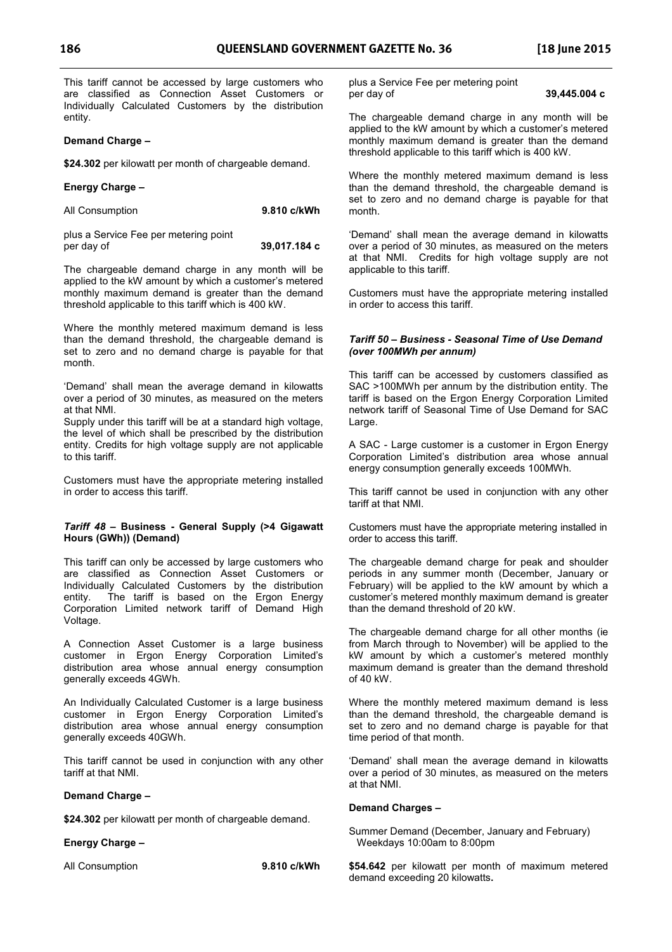This tariff cannot be accessed by large customers who are classified as Connection Asset Customers or Individually Calculated Customers by the distribution entity.

#### **Demand Charge –**

**\$24.302** per kilowatt per month of chargeable demand.

#### **Energy Charge –**

| All Consumption | 9.810 c/kWh |  |
|-----------------|-------------|--|
|                 |             |  |

plus a Service Fee per metering point per day of **39,017.184 c** 

The chargeable demand charge in any month will be applied to the kW amount by which a customer's metered monthly maximum demand is greater than the demand threshold applicable to this tariff which is 400 kW.

Where the monthly metered maximum demand is less than the demand threshold, the chargeable demand is set to zero and no demand charge is payable for that month.

'Demand' shall mean the average demand in kilowatts over a period of 30 minutes, as measured on the meters at that NMI.

Supply under this tariff will be at a standard high voltage, the level of which shall be prescribed by the distribution entity. Credits for high voltage supply are not applicable to this tariff.

Customers must have the appropriate metering installed in order to access this tariff.

#### *Tariff 48* **– Business - General Supply (>4 Gigawatt Hours (GWh)) (Demand)**

This tariff can only be accessed by large customers who are classified as Connection Asset Customers or Individually Calculated Customers by the distribution entity. The tariff is based on the Ergon Energy Corporation Limited network tariff of Demand High Voltage.

A Connection Asset Customer is a large business customer in Ergon Energy Corporation Limited's distribution area whose annual energy consumption generally exceeds 4GWh.

An Individually Calculated Customer is a large business customer in Ergon Energy Corporation Limited's distribution area whose annual energy consumption generally exceeds 40GWh.

This tariff cannot be used in conjunction with any other tariff at that NMI.

#### **Demand Charge –**

**\$24.302** per kilowatt per month of chargeable demand.

#### **Energy Charge –**

All Consumption **9.810 c/kWh** 

plus a Service Fee per metering point per day of **39,445.004 c** 

The chargeable demand charge in any month will be applied to the kW amount by which a customer's metered monthly maximum demand is greater than the demand threshold applicable to this tariff which is 400 kW.

Where the monthly metered maximum demand is less than the demand threshold, the chargeable demand is set to zero and no demand charge is payable for that month.

'Demand' shall mean the average demand in kilowatts over a period of 30 minutes, as measured on the meters at that NMI. Credits for high voltage supply are not applicable to this tariff.

Customers must have the appropriate metering installed in order to access this tariff.

#### *Tariff 50 – Business - Seasonal Time of Use Demand (over 100MWh per annum)*

This tariff can be accessed by customers classified as SAC >100MWh per annum by the distribution entity. The tariff is based on the Ergon Energy Corporation Limited network tariff of Seasonal Time of Use Demand for SAC Large.

A SAC - Large customer is a customer in Ergon Energy Corporation Limited's distribution area whose annual energy consumption generally exceeds 100MWh.

This tariff cannot be used in conjunction with any other tariff at that NMI.

Customers must have the appropriate metering installed in order to access this tariff.

The chargeable demand charge for peak and shoulder periods in any summer month (December, January or February) will be applied to the kW amount by which a customer's metered monthly maximum demand is greater than the demand threshold of 20 kW.

The chargeable demand charge for all other months (ie from March through to November) will be applied to the kW amount by which a customer's metered monthly maximum demand is greater than the demand threshold of 40 kW.

Where the monthly metered maximum demand is less than the demand threshold, the chargeable demand is set to zero and no demand charge is payable for that time period of that month.

'Demand' shall mean the average demand in kilowatts over a period of 30 minutes, as measured on the meters at that NMI.

#### **Demand Charges –**

Summer Demand (December, January and February) Weekdays 10:00am to 8:00pm

**\$54.642** per kilowatt per month of maximum metered demand exceeding 20 kilowatts**.**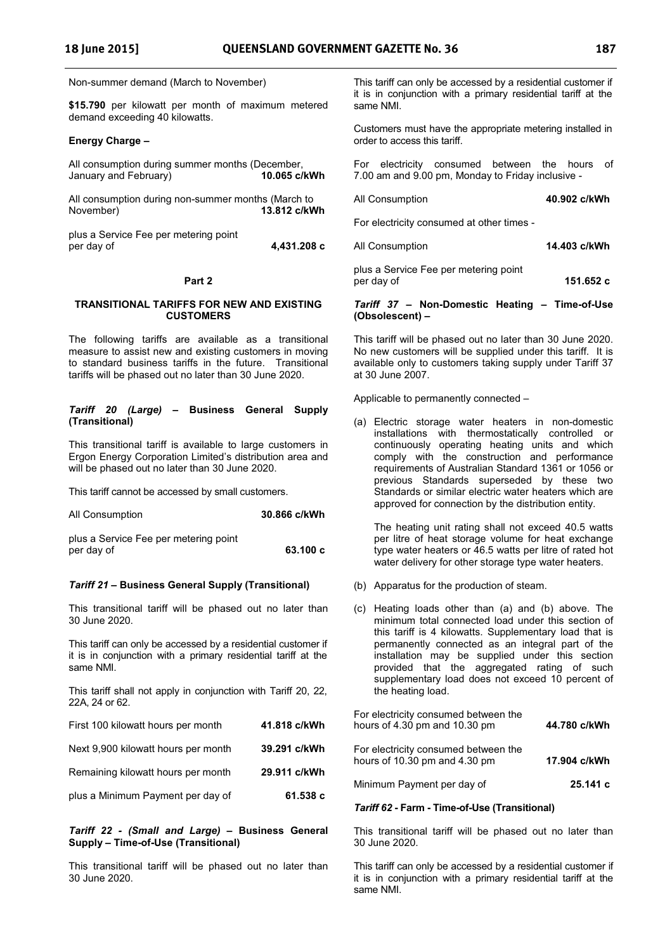Non-summer demand (March to November)

**\$15.790** per kilowatt per month of maximum metered demand exceeding 40 kilowatts.

#### **Energy Charge –**

All consumption during summer months (December,<br>January and February) 10.065 c/kWh January and February)

All consumption during non-summer months (March to November) **13.812 c/kWh**

plus a Service Fee per metering point per day of **4,431.208 c** 

#### **Part 2**

#### **TRANSITIONAL TARIFFS FOR NEW AND EXISTING CUSTOMERS**

The following tariffs are available as a transitional measure to assist new and existing customers in moving to standard business tariffs in the future. Transitional tariffs will be phased out no later than 30 June 2020.

#### *Tariff 20 (Large)* **– Business General Supply (Transitional)**

This transitional tariff is available to large customers in Ergon Energy Corporation Limited's distribution area and will be phased out no later than 30 June 2020.

This tariff cannot be accessed by small customers.

| 30.866 c/kWh |
|--------------|
| 63.100c      |
|              |

#### *Tariff 21* **– Business General Supply (Transitional)**

This transitional tariff will be phased out no later than 30 June 2020.

This tariff can only be accessed by a residential customer if it is in conjunction with a primary residential tariff at the same NMI.

This tariff shall not apply in conjunction with Tariff 20, 22, 22A, 24 or 62.

| First 100 kilowatt hours per month  | 41.818 c/kWh |
|-------------------------------------|--------------|
| Next 9,900 kilowatt hours per month | 39.291 c/kWh |
| Remaining kilowatt hours per month  | 29.911 c/kWh |
| plus a Minimum Payment per day of   | 61.538 c     |

#### *Tariff 22 - (Small and Large)* **– Business General Supply – Time-of-Use (Transitional)**

This transitional tariff will be phased out no later than 30 June 2020.

This tariff can only be accessed by a residential customer if it is in conjunction with a primary residential tariff at the same NMI.

Customers must have the appropriate metering installed in order to access this tariff.

For electricity consumed between the hours of 7.00 am and 9.00 pm, Monday to Friday inclusive -

| All Consumption | 40.902 c/kWh |
|-----------------|--------------|
|                 |              |

For electricity consumed at other times -

| All Consumption | 14.403 c/kWh |
|-----------------|--------------|
|                 |              |

plus a Service Fee per metering point per day of **151.652 c** 

#### *Tariff 37* **– Non-Domestic Heating – Time-of-Use (Obsolescent) –**

This tariff will be phased out no later than 30 June 2020. No new customers will be supplied under this tariff. It is available only to customers taking supply under Tariff 37 at 30 June 2007.

Applicable to permanently connected –

(a) Electric storage water heaters in non-domestic installations with thermostatically controlled or continuously operating heating units and which comply with the construction and performance requirements of Australian Standard 1361 or 1056 or previous Standards superseded by these two Standards or similar electric water heaters which are approved for connection by the distribution entity.

The heating unit rating shall not exceed 40.5 watts per litre of heat storage volume for heat exchange type water heaters or 46.5 watts per litre of rated hot water delivery for other storage type water heaters.

- (b) Apparatus for the production of steam.
- (c) Heating loads other than (a) and (b) above. The minimum total connected load under this section of this tariff is 4 kilowatts. Supplementary load that is permanently connected as an integral part of the installation may be supplied under this section provided that the aggregated rating of such supplementary load does not exceed 10 percent of the heating load.

| For electricity consumed between the<br>hours of 4.30 pm and 10.30 pm | 44.780 c/kWh |
|-----------------------------------------------------------------------|--------------|
| For electricity consumed between the<br>hours of 10.30 pm and 4.30 pm | 17.904 c/kWh |
| Minimum Payment per day of                                            | 25.141c      |

#### *Tariff 62* **- Farm - Time-of-Use (Transitional)**

This transitional tariff will be phased out no later than 30 June 2020.

This tariff can only be accessed by a residential customer if it is in conjunction with a primary residential tariff at the same NMI.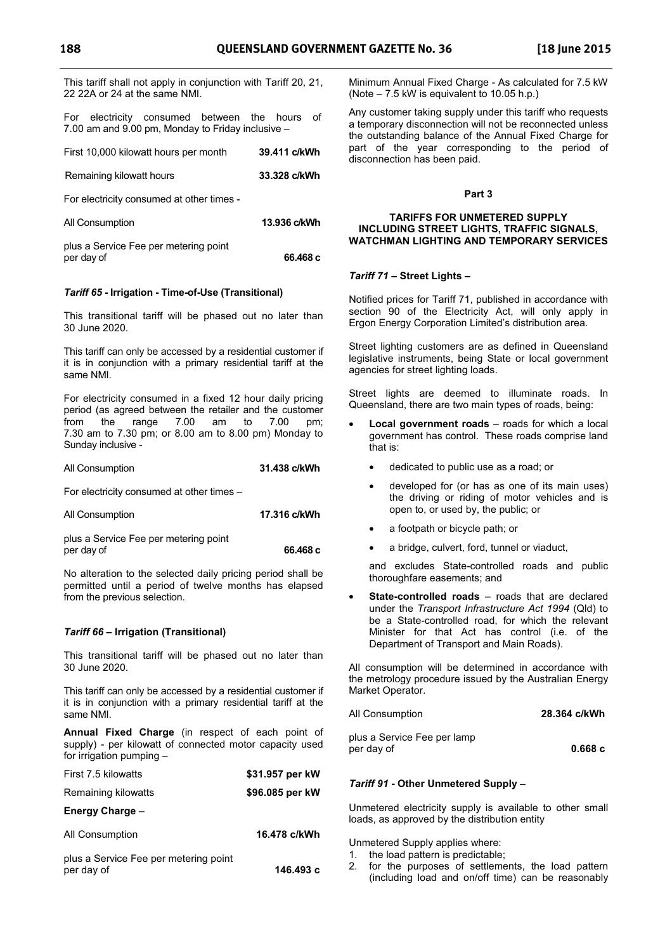This tariff shall not apply in conjunction with Tariff 20, 21, 22 22A or 24 at the same NMI.

For electricity consumed between the hours of 7.00 am and 9.00 pm, Monday to Friday inclusive –

| First 10,000 kilowatt hours per month | 39.411 c/kWh |
|---------------------------------------|--------------|
| Remaining kilowatt hours              | 33.328 c/kWh |
|                                       |              |

For electricity consumed at other times -

| All Consumption                       | 13.936 c/kWh |
|---------------------------------------|--------------|
| plus a Service Fee per metering point |              |
| per day of                            | 66.468 c     |

#### *Tariff 65* **- Irrigation - Time-of-Use (Transitional)**

This transitional tariff will be phased out no later than 30 June 2020.

This tariff can only be accessed by a residential customer if it is in conjunction with a primary residential tariff at the same NMI.

For electricity consumed in a fixed 12 hour daily pricing period (as agreed between the retailer and the customer from the range 7.00 am to 7.00 pm; 7.30 am to 7.30 pm; or 8.00 am to 8.00 pm) Monday to Sunday inclusive -

#### All Consumption **31.438 c/kWh**

For electricity consumed at other times –

| 17.316 c/kWh |
|--------------|
|              |

plus a Service Fee per metering point per day of **66.468 c** 

No alteration to the selected daily pricing period shall be permitted until a period of twelve months has elapsed from the previous selection.

#### *Tariff 66* **– Irrigation (Transitional)**

This transitional tariff will be phased out no later than 30 June 2020.

This tariff can only be accessed by a residential customer if it is in conjunction with a primary residential tariff at the same NMI.

**Annual Fixed Charge** (in respect of each point of supply) - per kilowatt of connected motor capacity used for irrigation pumping –

| First 7.5 kilowatts                                 | \$31.957 per kW |
|-----------------------------------------------------|-----------------|
| Remaining kilowatts                                 | \$96.085 per kW |
| Energy Charge -                                     |                 |
| All Consumption                                     | 16.478 c/kWh    |
| plus a Service Fee per metering point<br>per day of | 146.493 с       |

Minimum Annual Fixed Charge - As calculated for 7.5 kW (Note – 7.5 kW is equivalent to 10.05 h.p.)

Any customer taking supply under this tariff who requests a temporary disconnection will not be reconnected unless the outstanding balance of the Annual Fixed Charge for part of the year corresponding to the period of disconnection has been paid.

#### **Part 3**

#### **TARIFFS FOR UNMETERED SUPPLY INCLUDING STREET LIGHTS, TRAFFIC SIGNALS, WATCHMAN LIGHTING AND TEMPORARY SERVICES**

#### *Tariff 71 –* **Street Lights –**

Notified prices for Tariff 71, published in accordance with section 90 of the Electricity Act, will only apply in Ergon Energy Corporation Limited's distribution area.

Street lighting customers are as defined in Queensland legislative instruments, being State or local government agencies for street lighting loads.

Street lights are deemed to illuminate roads. In Queensland, there are two main types of roads, being:

- **Local government roads** roads for which a local government has control. These roads comprise land that is:
	- dedicated to public use as a road; or
	- developed for (or has as one of its main uses) the driving or riding of motor vehicles and is open to, or used by, the public; or
	- a footpath or bicycle path; or
	- a bridge, culvert, ford, tunnel or viaduct,

and excludes State-controlled roads and public thoroughfare easements; and

**State-controlled roads** – roads that are declared under the *Transport Infrastructure Act 1994* (Qld) to be a State-controlled road, for which the relevant Minister for that Act has control (i.e. of the Department of Transport and Main Roads).

All consumption will be determined in accordance with the metrology procedure issued by the Australian Energy Market Operator.

| All Consumption | 28.364 c/kWh |  |
|-----------------|--------------|--|
|                 |              |  |

| plus a Service Fee per lamp |        |
|-----------------------------|--------|
| per day of                  | 0.668c |

#### *Tariff 91* **- Other Unmetered Supply –**

Unmetered electricity supply is available to other small loads, as approved by the distribution entity

Unmetered Supply applies where:

- 1. the load pattern is predictable;
- 2. for the purposes of settlements, the load pattern (including load and on/off time) can be reasonably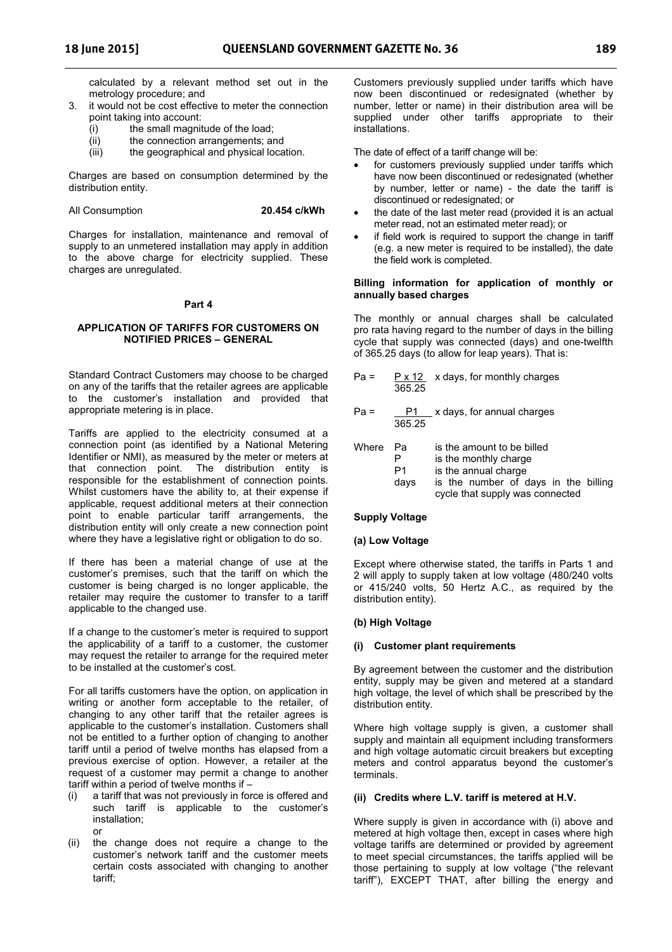calculated by a relevant method set out in the metrology procedure; and

- 3. it would not be cost effective to meter the connection point taking into account:
	- (i) the small magnitude of the load;
	- (ii) the connection arrangements; and
	- (iii) the geographical and physical location.

Charges are based on consumption determined by the distribution entity.

#### All Consumption **20.454 c/kWh**

Charges for installation, maintenance and removal of supply to an unmetered installation may apply in addition to the above charge for electricity supplied. These charges are unregulated.

#### **Part 4**

#### **APPLICATION OF TARIFFS FOR CUSTOMERS ON NOTIFIED PRICES – GENERAL**

Standard Contract Customers may choose to be charged on any of the tariffs that the retailer agrees are applicable to the customer's installation and provided that appropriate metering is in place.

Tariffs are applied to the electricity consumed at a connection point (as identified by a National Metering Identifier or NMI), as measured by the meter or meters at that connection point. The distribution entity is responsible for the establishment of connection points. Whilst customers have the ability to, at their expense if applicable, request additional meters at their connection point to enable particular tariff arrangements, the distribution entity will only create a new connection point where they have a legislative right or obligation to do so.

If there has been a material change of use at the customer's premises, such that the tariff on which the customer is being charged is no longer applicable, the retailer may require the customer to transfer to a tariff applicable to the changed use.

If a change to the customer's meter is required to support the applicability of a tariff to a customer, the customer may request the retailer to arrange for the required meter to be installed at the customer's cost.

For all tariffs customers have the option, on application in writing or another form acceptable to the retailer, of changing to any other tariff that the retailer agrees is applicable to the customer's installation. Customers shall not be entitled to a further option of changing to another tariff until a period of twelve months has elapsed from a previous exercise of option. However, a retailer at the request of a customer may permit a change to another tariff within a period of twelve months if –

- a tariff that was not previously in force is offered and such tariff is applicable to the customer's installation; or
- (ii) the change does not require a change to the customer's network tariff and the customer meets certain costs associated with changing to another tariff;

Customers previously supplied under tariffs which have now been discontinued or redesignated (whether by number, letter or name) in their distribution area will be supplied under other tariffs appropriate to their installations.

The date of effect of a tariff change will be:

- for customers previously supplied under tariffs which have now been discontinued or redesignated (whether by number, letter or name) - the date the tariff is discontinued or redesignated; or
- the date of the last meter read (provided it is an actual meter read, not an estimated meter read); or
- if field work is required to support the change in tariff (e.g. a new meter is required to be installed), the date the field work is completed.

#### **Billing information for application of monthly or annually based charges**

The monthly or annual charges shall be calculated pro rata having regard to the number of days in the billing cycle that supply was connected (days) and one-twelfth of 365.25 days (to allow for leap years). That is:

| $Pa =$ | 365.25                | $P \times 12$ x days, for monthly charges                                                                                                              |
|--------|-----------------------|--------------------------------------------------------------------------------------------------------------------------------------------------------|
| Pa =   | Р1<br>365.25          | x days, for annual charges                                                                                                                             |
| Where  | Pа<br>Р<br>P1<br>days | is the amount to be billed<br>is the monthly charge<br>is the annual charge<br>is the number of days in the billing<br>cycle that supply was connected |

#### **Supply Voltage**

#### **(a) Low Voltage**

Except where otherwise stated, the tariffs in Parts 1 and 2 will apply to supply taken at low voltage (480/240 volts or 415/240 volts, 50 Hertz A.C., as required by the distribution entity).

#### **(b) High Voltage**

#### **(i) Customer plant requirements**

By agreement between the customer and the distribution entity, supply may be given and metered at a standard high voltage, the level of which shall be prescribed by the distribution entity.

Where high voltage supply is given, a customer shall supply and maintain all equipment including transformers and high voltage automatic circuit breakers but excepting meters and control apparatus beyond the customer's terminals.

#### **(ii) Credits where L.V. tariff is metered at H.V.**

Where supply is given in accordance with (i) above and metered at high voltage then, except in cases where high voltage tariffs are determined or provided by agreement to meet special circumstances, the tariffs applied will be those pertaining to supply at low voltage ("the relevant tariff"), EXCEPT THAT, after billing the energy and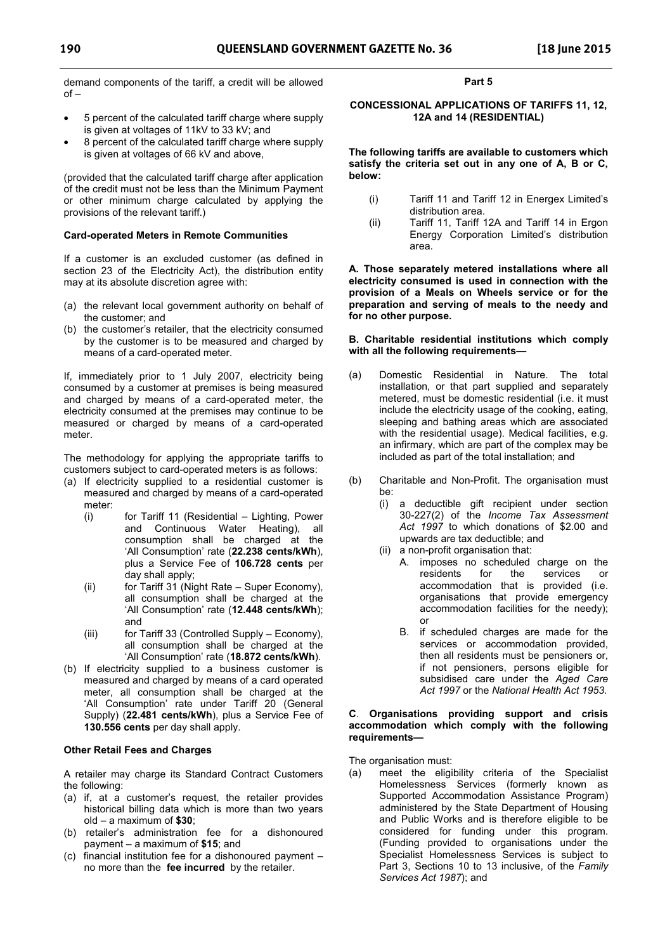demand components of the tariff, a credit will be allowed  $of -$ 

- 5 percent of the calculated tariff charge where supply is given at voltages of 11kV to 33 kV; and
- 8 percent of the calculated tariff charge where supply is given at voltages of 66 kV and above,

(provided that the calculated tariff charge after application of the credit must not be less than the Minimum Payment or other minimum charge calculated by applying the provisions of the relevant tariff.)

#### **Card-operated Meters in Remote Communities**

If a customer is an excluded customer (as defined in section 23 of the Electricity Act), the distribution entity may at its absolute discretion agree with:

- (a) the relevant local government authority on behalf of the customer; and
- (b) the customer's retailer, that the electricity consumed by the customer is to be measured and charged by means of a card-operated meter.

If, immediately prior to 1 July 2007, electricity being consumed by a customer at premises is being measured and charged by means of a card-operated meter, the electricity consumed at the premises may continue to be measured or charged by means of a card-operated meter.

The methodology for applying the appropriate tariffs to customers subject to card-operated meters is as follows:

- (a) If electricity supplied to a residential customer is measured and charged by means of a card-operated meter:
	- (i) for Tariff 11 (Residential Lighting, Power and Continuous Water Heating), all consumption shall be charged at the 'All Consumption' rate (**22.238 cents/kWh**), plus a Service Fee of **106.728 cents** per day shall apply;
	- (ii) for Tariff 31 (Night Rate Super Economy), all consumption shall be charged at the 'All Consumption' rate (**12.448 cents/kWh**); and
	- (iii) for Tariff 33 (Controlled Supply Economy), all consumption shall be charged at the 'All Consumption' rate (**18.872 cents/kWh**).
- (b) If electricity supplied to a business customer is measured and charged by means of a card operated meter, all consumption shall be charged at the 'All Consumption' rate under Tariff 20 (General Supply) (**22.481 cents/kWh**), plus a Service Fee of **130.556 cents** per day shall apply.

### **Other Retail Fees and Charges**

A retailer may charge its Standard Contract Customers the following:

- (a) if, at a customer's request, the retailer provides historical billing data which is more than two years old – a maximum of **\$30**;
- (b) retailer's administration fee for a dishonoured payment – a maximum of **\$15**; and
- (c) financial institution fee for a dishonoured payment no more than the **fee incurred** by the retailer.

#### **Part 5**

#### **CONCESSIONAL APPLICATIONS OF TARIFFS 11, 12, 12A and 14 (RESIDENTIAL)**

**The following tariffs are available to customers which satisfy the criteria set out in any one of A, B or C, below:** 

- (i) Tariff 11 and Tariff 12 in Energex Limited's distribution area.
- (ii) Tariff 11, Tariff 12A and Tariff 14 in Ergon Energy Corporation Limited's distribution area.

**A. Those separately metered installations where all electricity consumed is used in connection with the provision of a Meals on Wheels service or for the preparation and serving of meals to the needy and for no other purpose.** 

#### **B. Charitable residential institutions which comply with all the following requirements—**

- (a) Domestic Residential in Nature. The total installation, or that part supplied and separately metered, must be domestic residential (i.e. it must include the electricity usage of the cooking, eating, sleeping and bathing areas which are associated with the residential usage). Medical facilities, e.g. an infirmary, which are part of the complex may be included as part of the total installation; and
- (b) Charitable and Non-Profit. The organisation must be:
	- (i) a deductible gift recipient under section 30-227(2) of the *Income Tax Assessment Act 1997* to which donations of \$2.00 and upwards are tax deductible; and
	- (ii) a non-profit organisation that:
		- A. imposes no scheduled charge on the residents for the services or accommodation that is provided (i.e. organisations that provide emergency accommodation facilities for the needy); or
		- B. if scheduled charges are made for the services or accommodation provided, then all residents must be pensioners or, if not pensioners, persons eligible for subsidised care under the *Aged Care Act 1997* or the *National Health Act 1953*.

#### **C**. **Organisations providing support and crisis accommodation which comply with the following requirements—**

The organisation must:

(a) meet the eligibility criteria of the Specialist Homelessness Services (formerly known as Supported Accommodation Assistance Program) administered by the State Department of Housing and Public Works and is therefore eligible to be considered for funding under this program. (Funding provided to organisations under the Specialist Homelessness Services is subject to Part 3, Sections 10 to 13 inclusive, of the *Family Services Act 1987*); and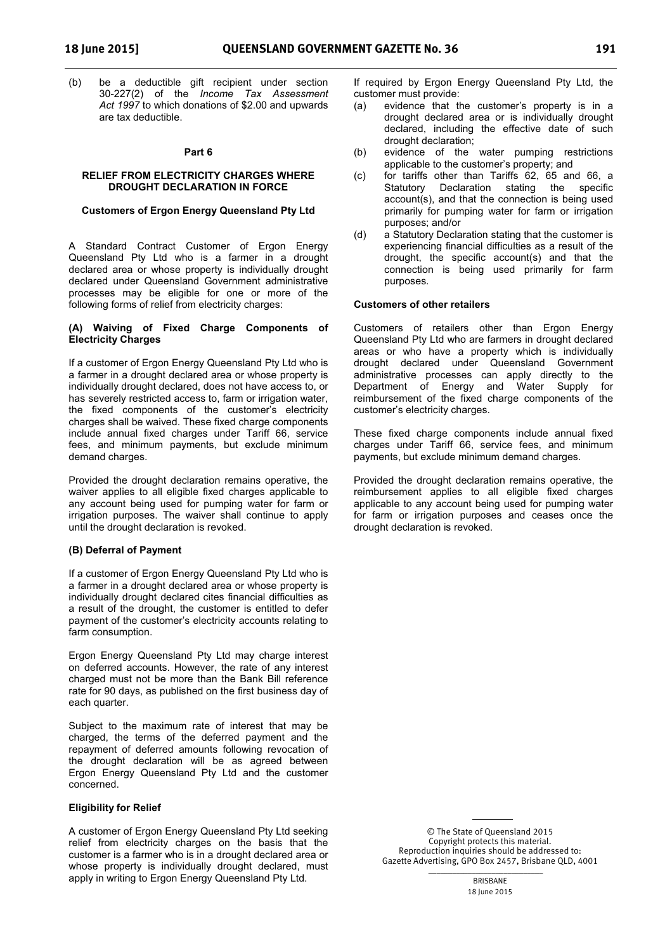(b) be a deductible gift recipient under section 30-227(2) of the *Income Tax Assessment Act 1997* to which donations of \$2.00 and upwards are tax deductible.

#### **Part 6**

#### **RELIEF FROM ELECTRICITY CHARGES WHERE DROUGHT DECLARATION IN FORCE**

#### **Customers of Ergon Energy Queensland Pty Ltd**

A Standard Contract Customer of Ergon Energy Queensland Pty Ltd who is a farmer in a drought declared area or whose property is individually drought declared under Queensland Government administrative processes may be eligible for one or more of the following forms of relief from electricity charges:

#### **(A) Waiving of Fixed Charge Components of Electricity Charges**

If a customer of Ergon Energy Queensland Pty Ltd who is a farmer in a drought declared area or whose property is individually drought declared, does not have access to, or has severely restricted access to, farm or irrigation water, the fixed components of the customer's electricity charges shall be waived. These fixed charge components include annual fixed charges under Tariff 66, service fees, and minimum payments, but exclude minimum demand charges.

Provided the drought declaration remains operative, the waiver applies to all eligible fixed charges applicable to any account being used for pumping water for farm or irrigation purposes. The waiver shall continue to apply until the drought declaration is revoked.

#### **(B) Deferral of Payment**

If a customer of Ergon Energy Queensland Pty Ltd who is a farmer in a drought declared area or whose property is individually drought declared cites financial difficulties as a result of the drought, the customer is entitled to defer payment of the customer's electricity accounts relating to farm consumption.

Ergon Energy Queensland Pty Ltd may charge interest on deferred accounts. However, the rate of any interest charged must not be more than the Bank Bill reference rate for 90 days, as published on the first business day of each quarter.

Subject to the maximum rate of interest that may be charged, the terms of the deferred payment and the repayment of deferred amounts following revocation of the drought declaration will be as agreed between Ergon Energy Queensland Pty Ltd and the customer concerned.

#### **Eligibility for Relief**

A customer of Ergon Energy Queensland Pty Ltd seeking relief from electricity charges on the basis that the customer is a farmer who is in a drought declared area or whose property is individually drought declared, must apply in writing to Ergon Energy Queensland Pty Ltd.

If required by Ergon Energy Queensland Pty Ltd, the customer must provide:

- (a) evidence that the customer's property is in a drought declared area or is individually drought declared, including the effective date of such drought declaration;
- (b) evidence of the water pumping restrictions applicable to the customer's property; and
- (c) for tariffs other than Tariffs 62, 65 and 66, a Statutory Declaration stating the specific account(s), and that the connection is being used primarily for pumping water for farm or irrigation purposes; and/or
- (d) a Statutory Declaration stating that the customer is experiencing financial difficulties as a result of the drought, the specific account(s) and that the connection is being used primarily for farm purposes.

#### **Customers of other retailers**

Customers of retailers other than Ergon Energy Queensland Pty Ltd who are farmers in drought declared areas or who have a property which is individually drought declared under Queensland Government administrative processes can apply directly to the Department of Energy and Water Supply for reimbursement of the fixed charge components of the customer's electricity charges.

These fixed charge components include annual fixed charges under Tariff 66, service fees, and minimum payments, but exclude minimum demand charges.

Provided the drought declaration remains operative, the reimbursement applies to all eligible fixed charges applicable to any account being used for pumping water for farm or irrigation purposes and ceases once the drought declaration is revoked.

> © The State of Queensland 2015 Copyright protects this material. Reproduction inquiries should be addressed to: Gazette Advertising, GPO Box 2457, Brisbane QLD, 4001

> > $\overline{\phantom{a}}$  ,  $\overline{\phantom{a}}$  ,  $\overline{\phantom{a}}$  ,  $\overline{\phantom{a}}$  ,  $\overline{\phantom{a}}$  ,  $\overline{\phantom{a}}$  ,  $\overline{\phantom{a}}$  ,  $\overline{\phantom{a}}$  ,  $\overline{\phantom{a}}$  ,  $\overline{\phantom{a}}$  ,  $\overline{\phantom{a}}$  ,  $\overline{\phantom{a}}$  ,  $\overline{\phantom{a}}$  ,  $\overline{\phantom{a}}$  ,  $\overline{\phantom{a}}$  ,  $\overline{\phantom{a}}$ BRISBANE 18 June 2015